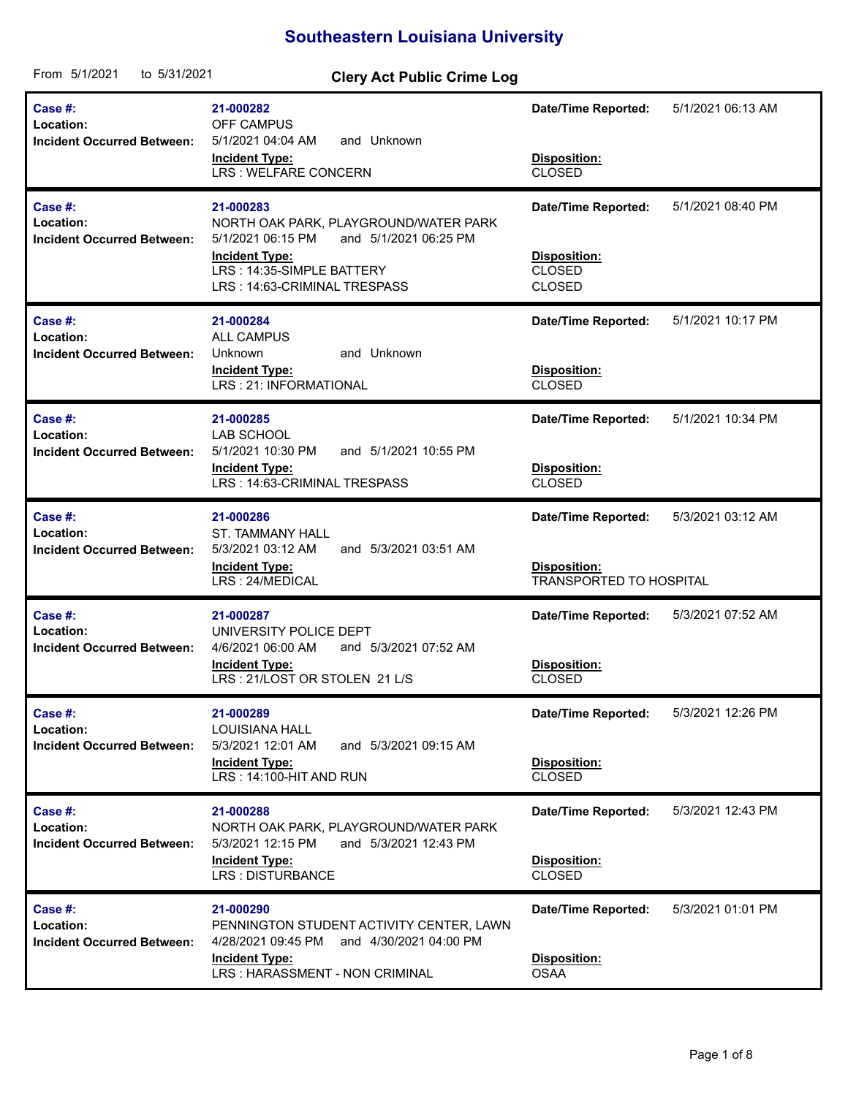## **Southeastern Louisiana University**

| From 5/1/2021<br>to 5/31/2021                                | <b>Clery Act Public Crime Log</b>                                                                                                                                                      |                                                                              |                   |
|--------------------------------------------------------------|----------------------------------------------------------------------------------------------------------------------------------------------------------------------------------------|------------------------------------------------------------------------------|-------------------|
| Case #:<br>Location:<br><b>Incident Occurred Between:</b>    | 21-000282<br><b>OFF CAMPUS</b><br>5/1/2021 04:04 AM<br>and Unknown<br><b>Incident Type:</b><br><b>LRS: WELFARE CONCERN</b>                                                             | <b>Date/Time Reported:</b><br>Disposition:<br><b>CLOSED</b>                  | 5/1/2021 06:13 AM |
| Case #:<br>Location:<br><b>Incident Occurred Between:</b>    | 21-000283<br>NORTH OAK PARK, PLAYGROUND/WATER PARK<br>5/1/2021 06:15 PM<br>and 5/1/2021 06:25 PM<br><b>Incident Type:</b><br>LRS: 14:35-SIMPLE BATTERY<br>LRS: 14:63-CRIMINAL TRESPASS | <b>Date/Time Reported:</b><br>Disposition:<br><b>CLOSED</b><br><b>CLOSED</b> | 5/1/2021 08:40 PM |
| Case #:<br>Location:<br><b>Incident Occurred Between:</b>    | 21-000284<br><b>ALL CAMPUS</b><br>and Unknown<br>Unknown<br><b>Incident Type:</b><br>LRS: 21: INFORMATIONAL                                                                            | <b>Date/Time Reported:</b><br>Disposition:<br><b>CLOSED</b>                  | 5/1/2021 10:17 PM |
| Case $#$ :<br>Location:<br><b>Incident Occurred Between:</b> | 21-000285<br>LAB SCHOOL<br>5/1/2021 10:30 PM<br>and 5/1/2021 10:55 PM<br><b>Incident Type:</b><br>LRS: 14:63-CRIMINAL TRESPASS                                                         | <b>Date/Time Reported:</b><br>Disposition:<br><b>CLOSED</b>                  | 5/1/2021 10:34 PM |
| Case  #:<br>Location:<br><b>Incident Occurred Between:</b>   | 21-000286<br><b>ST. TAMMANY HALL</b><br>5/3/2021 03:12 AM<br>and 5/3/2021 03:51 AM<br><b>Incident Type:</b><br>LRS: 24/MEDICAL                                                         | <b>Date/Time Reported:</b><br>Disposition:<br><b>TRANSPORTED TO HOSPITAL</b> | 5/3/2021 03:12 AM |
| Case #:<br>Location:<br><b>Incident Occurred Between:</b>    | 21-000287<br>UNIVERSITY POLICE DEPT<br>and 5/3/2021 07:52 AM<br>4/6/2021 06:00 AM<br><b>Incident Type:</b><br>LRS: 21/LOST OR STOLEN 21 L/S                                            | <b>Date/Time Reported:</b><br>Disposition:<br><b>CLOSED</b>                  | 5/3/2021 07:52 AM |
| Case $#$ :<br>Location:<br><b>Incident Occurred Between:</b> | 21-000289<br><b>LOUISIANA HALL</b><br>5/3/2021 12:01 AM<br>and 5/3/2021 09:15 AM<br><b>Incident Type:</b><br>LRS: 14:100-HIT AND RUN                                                   | <b>Date/Time Reported:</b><br>Disposition:<br><b>CLOSED</b>                  | 5/3/2021 12:26 PM |
| Case $#$ :<br>Location:<br><b>Incident Occurred Between:</b> | 21-000288<br>NORTH OAK PARK, PLAYGROUND/WATER PARK<br>5/3/2021 12:15 PM<br>and 5/3/2021 12:43 PM<br><b>Incident Type:</b><br><b>LRS: DISTURBANCE</b>                                   | <b>Date/Time Reported:</b><br>Disposition:<br>CLOSED                         | 5/3/2021 12:43 PM |
| Case $#$ :<br>Location:<br><b>Incident Occurred Between:</b> | 21-000290<br>PENNINGTON STUDENT ACTIVITY CENTER, LAWN<br>4/28/2021 09:45 PM<br>and 4/30/2021 04:00 PM<br><b>Incident Type:</b><br>LRS: HARASSMENT - NON CRIMINAL                       | Date/Time Reported:<br>Disposition:<br><b>OSAA</b>                           | 5/3/2021 01:01 PM |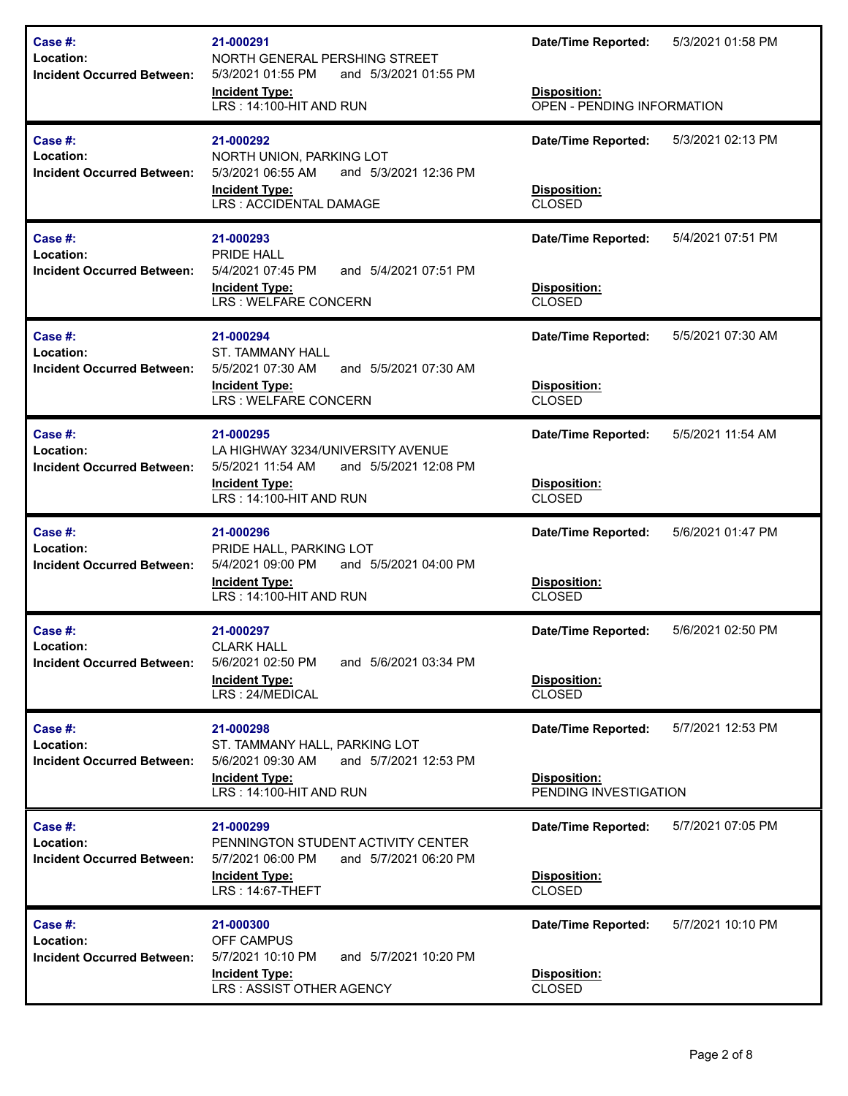| Case #:<br>Location:<br><b>Incident Occurred Between:</b>    | 21-000291<br>NORTH GENERAL PERSHING STREET<br>5/3/2021 01:55 PM<br>and 5/3/2021 01:55 PM<br><b>Incident Type:</b><br>LRS: 14:100-HIT AND RUN     | <b>Date/Time Reported:</b><br>Disposition:<br>OPEN - PENDING INFORMATION   | 5/3/2021 01:58 PM |
|--------------------------------------------------------------|--------------------------------------------------------------------------------------------------------------------------------------------------|----------------------------------------------------------------------------|-------------------|
| Case $#$ :<br>Location:<br><b>Incident Occurred Between:</b> | 21-000292<br>NORTH UNION, PARKING LOT<br>5/3/2021 06:55 AM<br>and 5/3/2021 12:36 PM<br><b>Incident Type:</b><br>LRS: ACCIDENTAL DAMAGE           | <b>Date/Time Reported:</b><br><b>Disposition:</b><br><b>CLOSED</b>         | 5/3/2021 02:13 PM |
| Case #:<br>Location:<br><b>Incident Occurred Between:</b>    | 21-000293<br>PRIDE HALL<br>5/4/2021 07:45 PM<br>and 5/4/2021 07:51 PM<br><b>Incident Type:</b><br>LRS : WELFARE CONCERN                          | <b>Date/Time Reported:</b><br>Disposition:<br><b>CLOSED</b>                | 5/4/2021 07:51 PM |
| Case #:<br>Location:<br><b>Incident Occurred Between:</b>    | 21-000294<br><b>ST. TAMMANY HALL</b><br>5/5/2021 07:30 AM<br>and 5/5/2021 07:30 AM<br><b>Incident Type:</b><br>LRS : WELFARE CONCERN             | <b>Date/Time Reported:</b><br>Disposition:<br><b>CLOSED</b>                | 5/5/2021 07:30 AM |
| Case #:<br>Location:<br><b>Incident Occurred Between:</b>    | 21-000295<br>LA HIGHWAY 3234/UNIVERSITY AVENUE<br>5/5/2021 11:54 AM<br>and 5/5/2021 12:08 PM<br><b>Incident Type:</b><br>LRS: 14:100-HIT AND RUN | <b>Date/Time Reported:</b><br>Disposition:<br><b>CLOSED</b>                | 5/5/2021 11:54 AM |
|                                                              |                                                                                                                                                  |                                                                            |                   |
| Case #:<br>Location:<br><b>Incident Occurred Between:</b>    | 21-000296<br>PRIDE HALL, PARKING LOT<br>5/4/2021 09:00 PM<br>and 5/5/2021 04:00 PM<br><b>Incident Type:</b><br>LRS: 14:100-HIT AND RUN           | <b>Date/Time Reported:</b><br>Disposition:<br><b>CLOSED</b>                | 5/6/2021 01:47 PM |
| Case #:<br>Location:<br><b>Incident Occurred Between:</b>    | 21-000297<br><b>CLARK HALL</b><br>5/6/2021 02:50 PM<br>and 5/6/2021 03:34 PM<br><b>Incident Type:</b><br>LRS: 24/MEDICAL                         | <b>Date/Time Reported:</b><br>Disposition:<br><b>CLOSED</b>                | 5/6/2021 02:50 PM |
| Case #:<br>Location:<br><b>Incident Occurred Between:</b>    | 21-000298<br>ST. TAMMANY HALL, PARKING LOT<br>and 5/7/2021 12:53 PM<br>5/6/2021 09:30 AM<br><b>Incident Type:</b><br>LRS: 14:100-HIT AND RUN     | <b>Date/Time Reported:</b><br><b>Disposition:</b><br>PENDING INVESTIGATION | 5/7/2021 12:53 PM |
| Case #:<br>Location:<br><b>Incident Occurred Between:</b>    | 21-000299<br>PENNINGTON STUDENT ACTIVITY CENTER<br>5/7/2021 06:00 PM<br>and 5/7/2021 06:20 PM<br><b>Incident Type:</b><br>LRS: 14:67-THEFT       | <b>Date/Time Reported:</b><br>Disposition:<br><b>CLOSED</b>                | 5/7/2021 07:05 PM |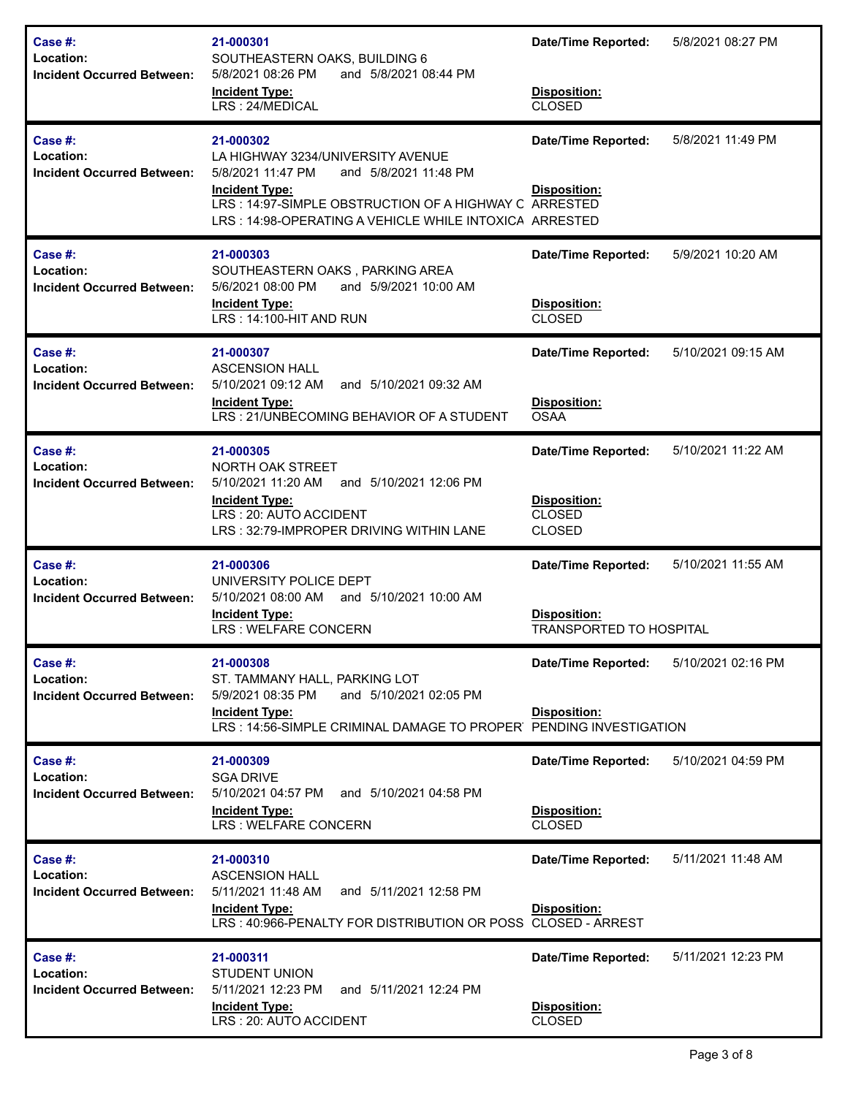| Case #:<br>Location:<br>Incident Occurred Between:        | 21-000301<br>SOUTHEASTERN OAKS, BUILDING 6<br>5/8/2021 08:26 PM<br>and 5/8/2021 08:44 PM<br><b>Incident Type:</b><br>LRS: 24/MEDICAL                                                                                                     | <b>Date/Time Reported:</b><br>Disposition:<br><b>CLOSED</b>                  | 5/8/2021 08:27 PM  |
|-----------------------------------------------------------|------------------------------------------------------------------------------------------------------------------------------------------------------------------------------------------------------------------------------------------|------------------------------------------------------------------------------|--------------------|
| Case #:<br>Location:<br><b>Incident Occurred Between:</b> | 21-000302<br>LA HIGHWAY 3234/UNIVERSITY AVENUE<br>5/8/2021 11:47 PM<br>and 5/8/2021 11:48 PM<br><b>Incident Type:</b><br>LRS: 14:97-SIMPLE OBSTRUCTION OF A HIGHWAY C ARRESTED<br>LRS: 14:98-OPERATING A VEHICLE WHILE INTOXICA ARRESTED | <b>Date/Time Reported:</b><br>Disposition:                                   | 5/8/2021 11:49 PM  |
| Case #:<br>Location:<br><b>Incident Occurred Between:</b> | 21-000303<br>SOUTHEASTERN OAKS, PARKING AREA<br>5/6/2021 08:00 PM<br>and 5/9/2021 10:00 AM<br><b>Incident Type:</b><br>LRS: 14:100-HIT AND RUN                                                                                           | <b>Date/Time Reported:</b><br>Disposition:<br><b>CLOSED</b>                  | 5/9/2021 10:20 AM  |
| Case #:<br>Location:<br><b>Incident Occurred Between:</b> | 21-000307<br><b>ASCENSION HALL</b><br>5/10/2021 09:12 AM<br>and 5/10/2021 09:32 AM<br><b>Incident Type:</b><br>LRS: 21/UNBECOMING BEHAVIOR OF A STUDENT                                                                                  | <b>Date/Time Reported:</b><br>Disposition:<br><b>OSAA</b>                    | 5/10/2021 09:15 AM |
| Case #:<br>Location:<br><b>Incident Occurred Between:</b> | 21-000305<br>NORTH OAK STREET<br>5/10/2021 11:20 AM<br>and 5/10/2021 12:06 PM<br><b>Incident Type:</b><br>LRS: 20: AUTO ACCIDENT<br>LRS: 32:79-IMPROPER DRIVING WITHIN LANE                                                              | <b>Date/Time Reported:</b><br>Disposition:<br><b>CLOSED</b><br><b>CLOSED</b> | 5/10/2021 11:22 AM |
| Case #:<br>Location:<br><b>Incident Occurred Between:</b> | 21-000306<br>UNIVERSITY POLICE DEPT<br>5/10/2021 08:00 AM<br>and 5/10/2021 10:00 AM<br><b>Incident Type:</b><br>LRS : WELFARE CONCERN                                                                                                    | <b>Date/Time Reported:</b><br>Disposition:<br><b>TRANSPORTED TO HOSPITAL</b> | 5/10/2021 11:55 AM |
| Case #:<br>Location:<br><b>Incident Occurred Between:</b> | 21-000308<br>ST. TAMMANY HALL, PARKING LOT<br>and 5/10/2021 02:05 PM<br>5/9/2021 08:35 PM<br><b>Incident Type:</b><br>LRS: 14:56-SIMPLE CRIMINAL DAMAGE TO PROPER                                                                        | <b>Date/Time Reported:</b><br>Disposition:<br>PENDING INVESTIGATION          | 5/10/2021 02:16 PM |
| Case #:<br>Location:<br><b>Incident Occurred Between:</b> | 21-000309<br><b>SGA DRIVE</b><br>5/10/2021 04:57 PM<br>and 5/10/2021 04:58 PM<br><b>Incident Type:</b><br>LRS : WELFARE CONCERN                                                                                                          | <b>Date/Time Reported:</b><br><b>Disposition:</b><br><b>CLOSED</b>           | 5/10/2021 04:59 PM |
| Case #:<br>Location:<br><b>Incident Occurred Between:</b> | 21-000310<br><b>ASCENSION HALL</b><br>5/11/2021 11:48 AM<br>and 5/11/2021 12:58 PM<br><b>Incident Type:</b><br>LRS: 40:966-PENALTY FOR DISTRIBUTION OR POSS CLOSED - ARREST                                                              | <b>Date/Time Reported:</b><br>Disposition:                                   | 5/11/2021 11:48 AM |
| Case #:<br>Location:<br><b>Incident Occurred Between:</b> | 21-000311<br><b>STUDENT UNION</b><br>5/11/2021 12:23 PM<br>and 5/11/2021 12:24 PM<br><b>Incident Type:</b><br>LRS: 20: AUTO ACCIDENT                                                                                                     | <b>Date/Time Reported:</b><br>Disposition:<br><b>CLOSED</b>                  | 5/11/2021 12:23 PM |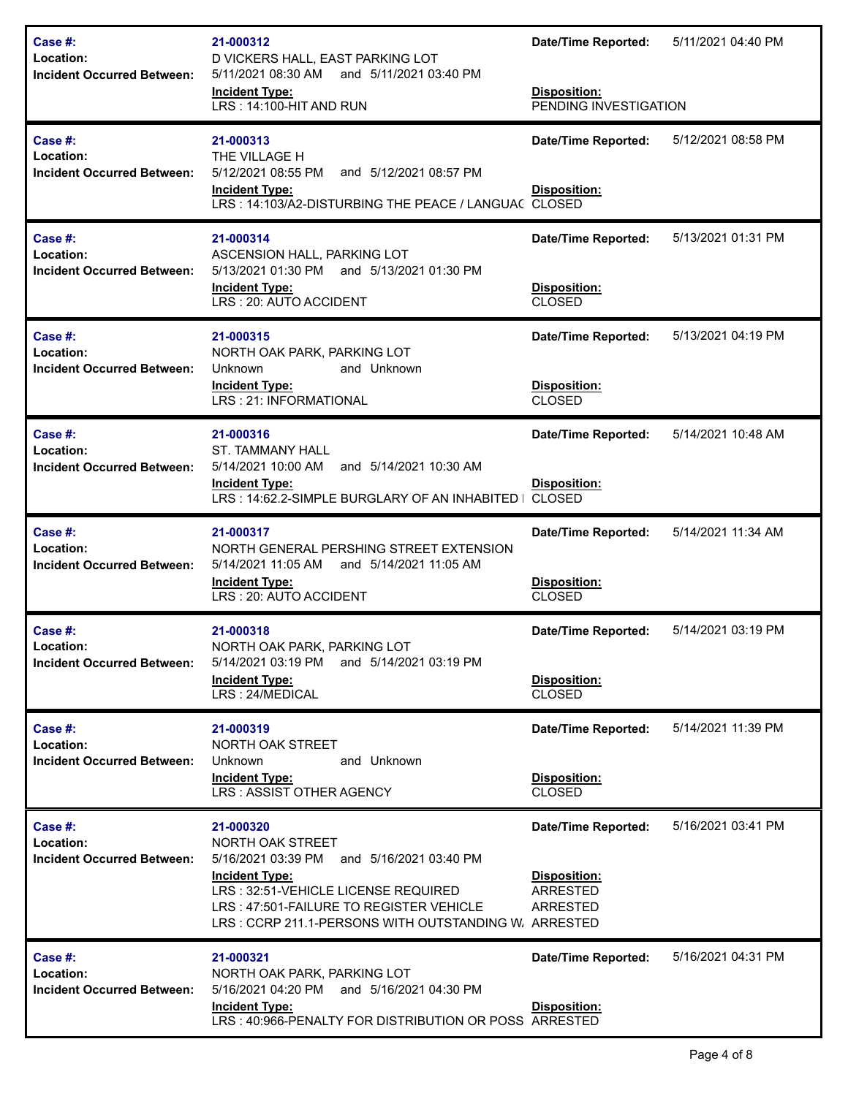| Case #:<br>Location:<br><b>Incident Occurred Between:</b>        | 21-000312<br>D VICKERS HALL, EAST PARKING LOT<br>5/11/2021 08:30 AM and 5/11/2021 03:40 PM<br><b>Incident Type:</b><br>LRS: 14:100-HIT AND RUN                                                                                                | <b>Date/Time Reported:</b><br>Disposition:<br>PENDING INVESTIGATION       | 5/11/2021 04:40 PM |
|------------------------------------------------------------------|-----------------------------------------------------------------------------------------------------------------------------------------------------------------------------------------------------------------------------------------------|---------------------------------------------------------------------------|--------------------|
| Case #:<br>Location:<br><b>Incident Occurred Between:</b>        | 21-000313<br>THE VILLAGE H<br>5/12/2021 08:55 PM<br>and 5/12/2021 08:57 PM<br><b>Incident Type:</b><br>LRS: 14:103/A2-DISTURBING THE PEACE / LANGUAC CLOSED                                                                                   | <b>Date/Time Reported:</b><br><b>Disposition:</b>                         | 5/12/2021 08:58 PM |
| Case #:<br>Location:<br><b>Incident Occurred Between:</b>        | 21-000314<br>ASCENSION HALL, PARKING LOT<br>5/13/2021 01:30 PM and 5/13/2021 01:30 PM<br><b>Incident Type:</b><br>LRS: 20: AUTO ACCIDENT                                                                                                      | <b>Date/Time Reported:</b><br>Disposition:<br><b>CLOSED</b>               | 5/13/2021 01:31 PM |
| <b>Case #:</b><br>Location:<br><b>Incident Occurred Between:</b> | 21-000315<br>NORTH OAK PARK, PARKING LOT<br>Unknown<br>and Unknown<br><b>Incident Type:</b><br>LRS: 21: INFORMATIONAL                                                                                                                         | <b>Date/Time Reported:</b><br>Disposition:<br><b>CLOSED</b>               | 5/13/2021 04:19 PM |
| <b>Case #:</b><br>Location:<br><b>Incident Occurred Between:</b> | 21-000316<br><b>ST. TAMMANY HALL</b><br>5/14/2021 10:00 AM and 5/14/2021 10:30 AM<br><b>Incident Type:</b><br>LRS: 14:62.2-SIMPLE BURGLARY OF AN INHABITED I                                                                                  | <b>Date/Time Reported:</b><br><b>Disposition:</b><br><b>CLOSED</b>        | 5/14/2021 10:48 AM |
| <b>Case #:</b><br>Location:<br><b>Incident Occurred Between:</b> | 21-000317<br>NORTH GENERAL PERSHING STREET EXTENSION<br>5/14/2021 11:05 AM and 5/14/2021 11:05 AM<br><b>Incident Type:</b><br>LRS: 20: AUTO ACCIDENT                                                                                          | <b>Date/Time Reported:</b><br>Disposition:<br><b>CLOSED</b>               | 5/14/2021 11:34 AM |
| <b>Case #:</b><br>Location:<br><b>Incident Occurred Between:</b> | 21-000318<br>NORTH OAK PARK, PARKING LOT<br>5/14/2021 03:19 PM and 5/14/2021 03:19 PM<br><b>Incident Type:</b><br>LRS: 24/MEDICAL                                                                                                             | <b>Date/Time Reported:</b><br>Disposition:<br><b>CLOSED</b>               | 5/14/2021 03:19 PM |
| <b>Case #:</b><br>Location:<br><b>Incident Occurred Between:</b> | 21-000319<br>NORTH OAK STREET<br>and Unknown<br>Unknown<br><b>Incident Type:</b><br>LRS: ASSIST OTHER AGENCY                                                                                                                                  | <b>Date/Time Reported:</b><br>Disposition:<br><b>CLOSED</b>               | 5/14/2021 11:39 PM |
| Case #:<br>Location:<br><b>Incident Occurred Between:</b>        | 21-000320<br>NORTH OAK STREET<br>5/16/2021 03:39 PM and 5/16/2021 03:40 PM<br><b>Incident Type:</b><br>LRS: 32:51-VEHICLE LICENSE REQUIRED<br>LRS: 47:501-FAILURE TO REGISTER VEHICLE<br>LRS: CCRP 211.1-PERSONS WITH OUTSTANDING W. ARRESTED | <b>Date/Time Reported:</b><br>Disposition:<br>ARRESTED<br><b>ARRESTED</b> | 5/16/2021 03:41 PM |
| Case #:<br>Location:<br><b>Incident Occurred Between:</b>        | 21-000321<br>NORTH OAK PARK, PARKING LOT<br>5/16/2021 04:20 PM and 5/16/2021 04:30 PM<br><b>Incident Type:</b><br>LRS: 40:966-PENALTY FOR DISTRIBUTION OR POSS ARRESTED                                                                       | <b>Date/Time Reported:</b><br>Disposition:                                | 5/16/2021 04:31 PM |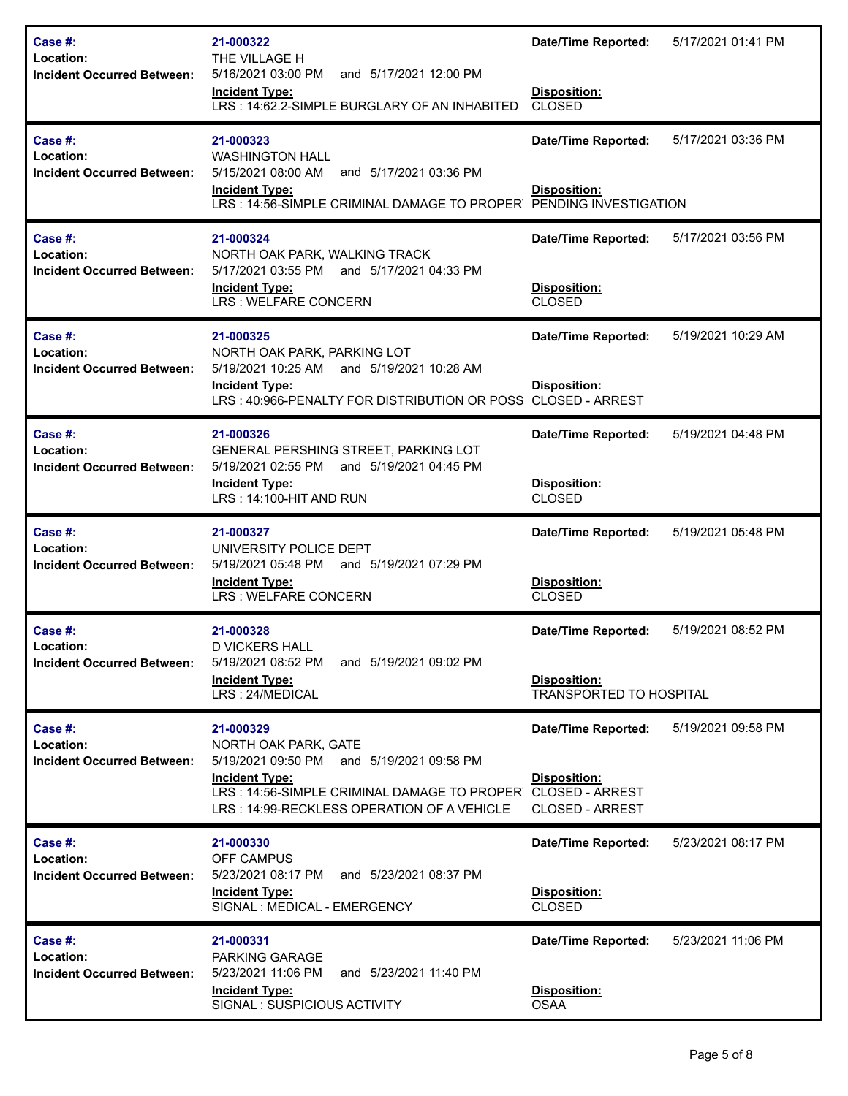| Case #:<br>Location:<br>Incident Occurred Between:        | 21-000322<br>THE VILLAGE H<br>5/16/2021 03:00 PM<br>and 5/17/2021 12:00 PM<br><b>Incident Type:</b><br>LRS: 14:62.2-SIMPLE BURGLARY OF AN INHABITED I                                                                | <b>Date/Time Reported:</b><br>Disposition:<br><b>CLOSED</b>                 | 5/17/2021 01:41 PM |
|-----------------------------------------------------------|----------------------------------------------------------------------------------------------------------------------------------------------------------------------------------------------------------------------|-----------------------------------------------------------------------------|--------------------|
| Case #:<br>Location:<br><b>Incident Occurred Between:</b> | 21-000323<br><b>WASHINGTON HALL</b><br>5/15/2021 08:00 AM<br>and 5/17/2021 03:36 PM<br><b>Incident Type:</b><br>LRS: 14:56-SIMPLE CRIMINAL DAMAGE TO PROPER                                                          | <b>Date/Time Reported:</b><br>Disposition:<br>PENDING INVESTIGATION         | 5/17/2021 03:36 PM |
| Case #:<br>Location:<br><b>Incident Occurred Between:</b> | 21-000324<br>NORTH OAK PARK, WALKING TRACK<br>5/17/2021 03:55 PM<br>and 5/17/2021 04:33 PM<br><b>Incident Type:</b><br>LRS : WELFARE CONCERN                                                                         | <b>Date/Time Reported:</b><br>Disposition:<br><b>CLOSED</b>                 | 5/17/2021 03:56 PM |
| Case #:<br>Location:<br><b>Incident Occurred Between:</b> | 21-000325<br>NORTH OAK PARK, PARKING LOT<br>5/19/2021 10:25 AM and 5/19/2021 10:28 AM<br><b>Incident Type:</b><br>LRS: 40:966-PENALTY FOR DISTRIBUTION OR POSS CLOSED - ARREST                                       | <b>Date/Time Reported:</b><br><b>Disposition:</b>                           | 5/19/2021 10:29 AM |
| Case #:<br>Location:<br><b>Incident Occurred Between:</b> | 21-000326<br>GENERAL PERSHING STREET, PARKING LOT<br>5/19/2021 02:55 PM<br>and 5/19/2021 04:45 PM<br><b>Incident Type:</b><br>LRS: 14:100-HIT AND RUN                                                                | <b>Date/Time Reported:</b><br>Disposition:<br><b>CLOSED</b>                 | 5/19/2021 04:48 PM |
| Case #:<br>Location:<br><b>Incident Occurred Between:</b> | 21-000327<br>UNIVERSITY POLICE DEPT<br>5/19/2021 05:48 PM and 5/19/2021 07:29 PM<br><b>Incident Type:</b><br>LRS : WELFARE CONCERN                                                                                   | <b>Date/Time Reported:</b><br>Disposition:<br><b>CLOSED</b>                 | 5/19/2021 05:48 PM |
| Case #:<br>Location:<br><b>Incident Occurred Between:</b> | 21-000328<br><b>D VICKERS HALL</b><br>5/19/2021 08:52 PM<br>and 5/19/2021 09:02 PM<br><b>Incident Type:</b><br>LRS: 24/MEDICAL                                                                                       | <b>Date/Time Reported:</b><br>Disposition:<br>TRANSPORTED TO HOSPITAL       | 5/19/2021 08:52 PM |
| Case #:<br>Location:<br><b>Incident Occurred Between:</b> | 21-000329<br>NORTH OAK PARK, GATE<br>5/19/2021 09:50 PM and 5/19/2021 09:58 PM<br><b>Incident Type:</b><br>LRS: 14:56-SIMPLE CRIMINAL DAMAGE TO PROPER CLOSED - ARREST<br>LRS: 14:99-RECKLESS OPERATION OF A VEHICLE | <b>Date/Time Reported:</b><br><b>Disposition:</b><br><b>CLOSED - ARREST</b> | 5/19/2021 09:58 PM |
| Case #:<br>Location:<br><b>Incident Occurred Between:</b> | 21-000330<br>OFF CAMPUS<br>5/23/2021 08:17 PM<br>and 5/23/2021 08:37 PM<br><b>Incident Type:</b><br>SIGNAL : MEDICAL - EMERGENCY                                                                                     | <b>Date/Time Reported:</b><br>Disposition:<br><b>CLOSED</b>                 | 5/23/2021 08:17 PM |
| Case #:<br>Location:<br><b>Incident Occurred Between:</b> | 21-000331<br>PARKING GARAGE<br>and 5/23/2021 11:40 PM<br>5/23/2021 11:06 PM<br><b>Incident Type:</b><br>SIGNAL : SUSPICIOUS ACTIVITY                                                                                 | <b>Date/Time Reported:</b><br>Disposition:<br><b>OSAA</b>                   | 5/23/2021 11:06 PM |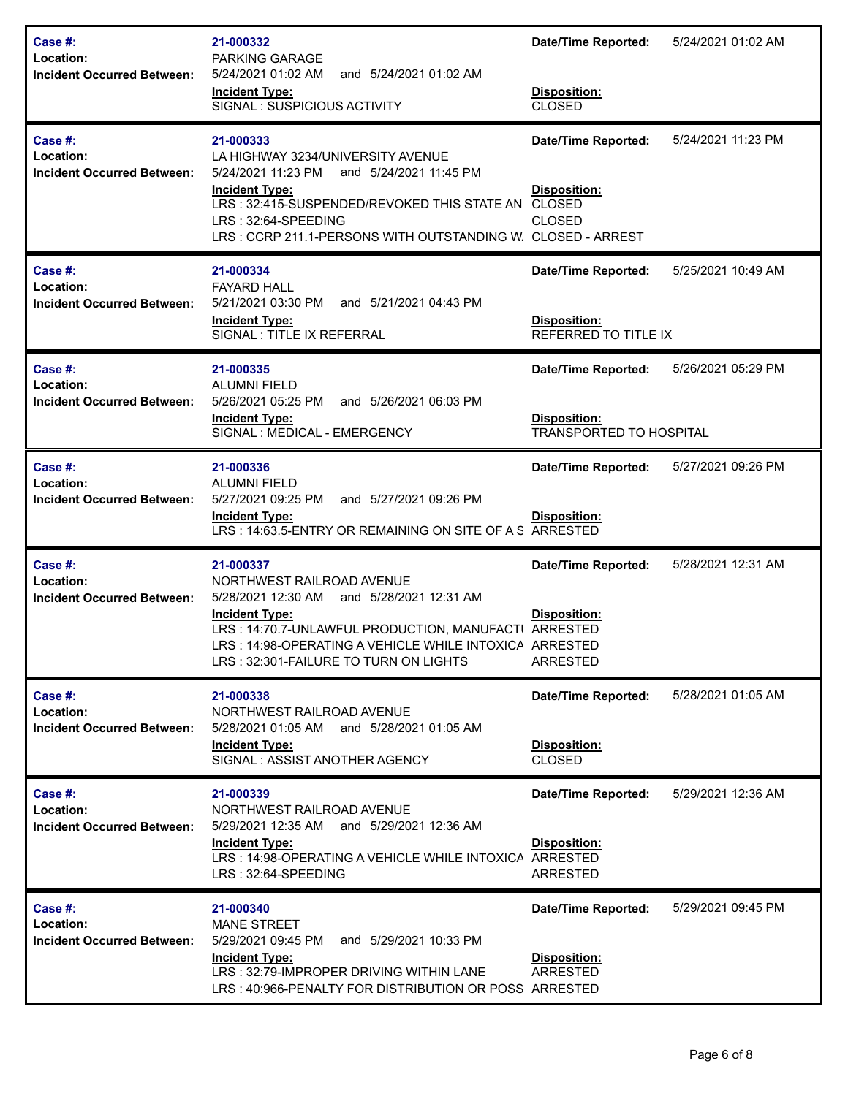| Case #:<br>Location:<br><b>Incident Occurred Between:</b>        | 21-000332<br>PARKING GARAGE<br>5/24/2021 01:02 AM<br>and 5/24/2021 01:02 AM<br><b>Incident Type:</b><br>SIGNAL: SUSPICIOUS ACTIVITY                                                                                                                                     | 5/24/2021 01:02 AM<br><b>Date/Time Reported:</b><br>Disposition:<br><b>CLOSED</b>                         |  |
|------------------------------------------------------------------|-------------------------------------------------------------------------------------------------------------------------------------------------------------------------------------------------------------------------------------------------------------------------|-----------------------------------------------------------------------------------------------------------|--|
| <b>Case #:</b><br>Location:<br><b>Incident Occurred Between:</b> | 21-000333<br>LA HIGHWAY 3234/UNIVERSITY AVENUE<br>5/24/2021 11:23 PM<br>and 5/24/2021 11:45 PM<br><b>Incident Type:</b><br>LRS: 32:415-SUSPENDED/REVOKED THIS STATE AN CLOSED<br>LRS: 32:64-SPEEDING<br>LRS: CCRP 211.1-PERSONS WITH OUTSTANDING W. CLOSED - ARREST     | 5/24/2021 11:23 PM<br><b>Date/Time Reported:</b><br><b>Disposition:</b><br><b>CLOSED</b>                  |  |
| <b>Case #:</b><br>Location:<br><b>Incident Occurred Between:</b> | 21-000334<br><b>FAYARD HALL</b><br>5/21/2021 03:30 PM<br>and 5/21/2021 04:43 PM<br><b>Incident Type:</b><br>SIGNAL : TITLE IX REFERRAL                                                                                                                                  | 5/25/2021 10:49 AM<br><b>Date/Time Reported:</b><br><b>Disposition:</b><br>REFERRED TO TITLE IX           |  |
| Case #:<br>Location:<br><b>Incident Occurred Between:</b>        | 21-000335<br><b>ALUMNI FIELD</b><br>5/26/2021 05:25 PM<br>and 5/26/2021 06:03 PM<br><b>Incident Type:</b><br>SIGNAL: MEDICAL - EMERGENCY                                                                                                                                | 5/26/2021 05:29 PM<br><b>Date/Time Reported:</b><br><b>Disposition:</b><br><b>TRANSPORTED TO HOSPITAL</b> |  |
| <b>Case #:</b><br>Location:<br><b>Incident Occurred Between:</b> | 21-000336<br><b>ALUMNI FIELD</b><br>and 5/27/2021 09:26 PM<br>5/27/2021 09:25 PM<br><b>Incident Type:</b><br>LRS: 14:63.5-ENTRY OR REMAINING ON SITE OF A S ARRESTED                                                                                                    | 5/27/2021 09:26 PM<br><b>Date/Time Reported:</b><br><b>Disposition:</b>                                   |  |
| Case #:<br>Location:<br><b>Incident Occurred Between:</b>        | 21-000337<br>NORTHWEST RAILROAD AVENUE<br>5/28/2021 12:30 AM and 5/28/2021 12:31 AM<br><b>Incident Type:</b><br>LRS: 14:70.7-UNLAWFUL PRODUCTION, MANUFACTI ARRESTED<br>LRS: 14:98-OPERATING A VEHICLE WHILE INTOXICA ARRESTED<br>LRS: 32:301-FAILURE TO TURN ON LIGHTS | 5/28/2021 12:31 AM<br><b>Date/Time Reported:</b><br>Disposition:<br><b>ARRESTED</b>                       |  |
| Case #:<br>Location:<br><b>Incident Occurred Between:</b>        | 21-000338<br>NORTHWEST RAILROAD AVENUE<br>5/28/2021 01:05 AM and 5/28/2021 01:05 AM<br><b>Incident Type:</b><br>SIGNAL: ASSIST ANOTHER AGENCY                                                                                                                           | <b>Date/Time Reported:</b><br>5/28/2021 01:05 AM<br>Disposition:<br><b>CLOSED</b>                         |  |
| Case #:<br>Location:<br><b>Incident Occurred Between:</b>        | 21-000339<br>NORTHWEST RAILROAD AVENUE<br>5/29/2021 12:35 AM<br>and 5/29/2021 12:36 AM<br><b>Incident Type:</b><br>LRS: 14:98-OPERATING A VEHICLE WHILE INTOXICA ARRESTED<br>LRS: 32:64-SPEEDING                                                                        | 5/29/2021 12:36 AM<br><b>Date/Time Reported:</b><br>Disposition:<br>ARRESTED                              |  |
| Case #:<br>Location:<br><b>Incident Occurred Between:</b>        | 21-000340<br><b>MANE STREET</b><br>and 5/29/2021 10:33 PM<br>5/29/2021 09:45 PM<br><b>Incident Type:</b><br>LRS: 32:79-IMPROPER DRIVING WITHIN LANE<br>LRS: 40:966-PENALTY FOR DISTRIBUTION OR POSS ARRESTED                                                            | 5/29/2021 09:45 PM<br><b>Date/Time Reported:</b><br>Disposition:<br>ARRESTED                              |  |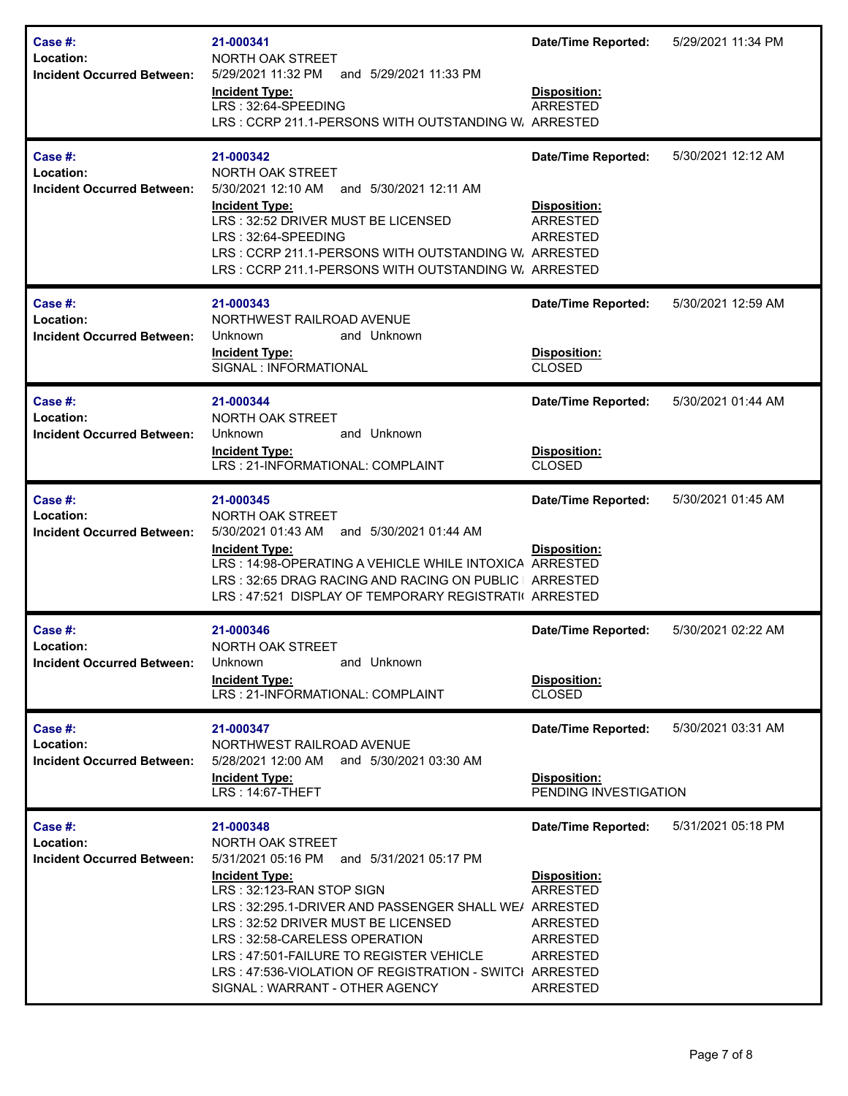| Case #:<br>Location:<br><b>Incident Occurred Between:</b> | 21-000341<br>NORTH OAK STREET<br>5/29/2021 11:32 PM<br>and 5/29/2021 11:33 PM<br><b>Incident Type:</b><br>LRS: 32:64-SPEEDING<br>LRS: CCRP 211.1-PERSONS WITH OUTSTANDING W. ARRESTED                                                                                                                                                                                                                       | <b>Date/Time Reported:</b><br>Disposition:<br><b>ARRESTED</b>                                                               | 5/29/2021 11:34 PM |
|-----------------------------------------------------------|-------------------------------------------------------------------------------------------------------------------------------------------------------------------------------------------------------------------------------------------------------------------------------------------------------------------------------------------------------------------------------------------------------------|-----------------------------------------------------------------------------------------------------------------------------|--------------------|
| Case #:<br>Location:<br><b>Incident Occurred Between:</b> | 21-000342<br>NORTH OAK STREET<br>5/30/2021 12:10 AM<br>and 5/30/2021 12:11 AM<br><b>Incident Type:</b><br>LRS: 32:52 DRIVER MUST BE LICENSED<br>LRS: 32:64-SPEEDING<br>LRS: CCRP 211.1-PERSONS WITH OUTSTANDING W. ARRESTED<br>LRS: CCRP 211.1-PERSONS WITH OUTSTANDING W. ARRESTED                                                                                                                         | <b>Date/Time Reported:</b><br>Disposition:<br><b>ARRESTED</b><br><b>ARRESTED</b>                                            | 5/30/2021 12:12 AM |
| Case #:<br>Location:<br><b>Incident Occurred Between:</b> | 21-000343<br>NORTHWEST RAILROAD AVENUE<br>and Unknown<br>Unknown<br><b>Incident Type:</b><br>SIGNAL : INFORMATIONAL                                                                                                                                                                                                                                                                                         | <b>Date/Time Reported:</b><br>Disposition:<br><b>CLOSED</b>                                                                 | 5/30/2021 12:59 AM |
| Case #:<br>Location:<br><b>Incident Occurred Between:</b> | 21-000344<br>NORTH OAK STREET<br>and Unknown<br>Unknown<br><b>Incident Type:</b><br>LRS: 21-INFORMATIONAL: COMPLAINT                                                                                                                                                                                                                                                                                        | <b>Date/Time Reported:</b><br>Disposition:<br><b>CLOSED</b>                                                                 | 5/30/2021 01:44 AM |
| Case #:<br>Location:<br><b>Incident Occurred Between:</b> | 21-000345<br>NORTH OAK STREET<br>5/30/2021 01:43 AM<br>and 5/30/2021 01:44 AM<br><b>Incident Type:</b><br>LRS: 14:98-OPERATING A VEHICLE WHILE INTOXICA ARRESTED<br>LRS: 32:65 DRAG RACING AND RACING ON PUBLIC   ARRESTED<br>LRS: 47:521 DISPLAY OF TEMPORARY REGISTRATI( ARRESTED                                                                                                                         | <b>Date/Time Reported:</b><br>Disposition:                                                                                  | 5/30/2021 01:45 AM |
| Case #:<br>Location:<br><b>Incident Occurred Between:</b> | 21-000346<br>NORTH OAK STREET<br><b>Unknown</b><br>and Unknown<br><b>Incident Type:</b><br>LRS: 21-INFORMATIONAL: COMPLAINT                                                                                                                                                                                                                                                                                 | <b>Date/Time Reported:</b><br>Disposition:<br><b>CLOSED</b>                                                                 | 5/30/2021 02:22 AM |
| Case #:<br>Location:<br><b>Incident Occurred Between:</b> | 21-000347<br>NORTHWEST RAILROAD AVENUE<br>5/28/2021 12:00 AM<br>and 5/30/2021 03:30 AM<br><b>Incident Type:</b><br>LRS: 14:67-THEFT                                                                                                                                                                                                                                                                         | <b>Date/Time Reported:</b><br>Disposition:<br>PENDING INVESTIGATION                                                         | 5/30/2021 03:31 AM |
| Case #:<br>Location:<br><b>Incident Occurred Between:</b> | 21-000348<br>NORTH OAK STREET<br>5/31/2021 05:16 PM<br>and 5/31/2021 05:17 PM<br><b>Incident Type:</b><br>LRS: 32:123-RAN STOP SIGN<br>LRS: 32:295.1-DRIVER AND PASSENGER SHALL WE/ ARRESTED<br>LRS: 32:52 DRIVER MUST BE LICENSED<br>LRS: 32:58-CARELESS OPERATION<br>LRS: 47:501-FAILURE TO REGISTER VEHICLE<br>LRS: 47:536-VIOLATION OF REGISTRATION - SWITCI ARRESTED<br>SIGNAL: WARRANT - OTHER AGENCY | <b>Date/Time Reported:</b><br>Disposition:<br><b>ARRESTED</b><br>ARRESTED<br><b>ARRESTED</b><br>ARRESTED<br><b>ARRESTED</b> | 5/31/2021 05:18 PM |